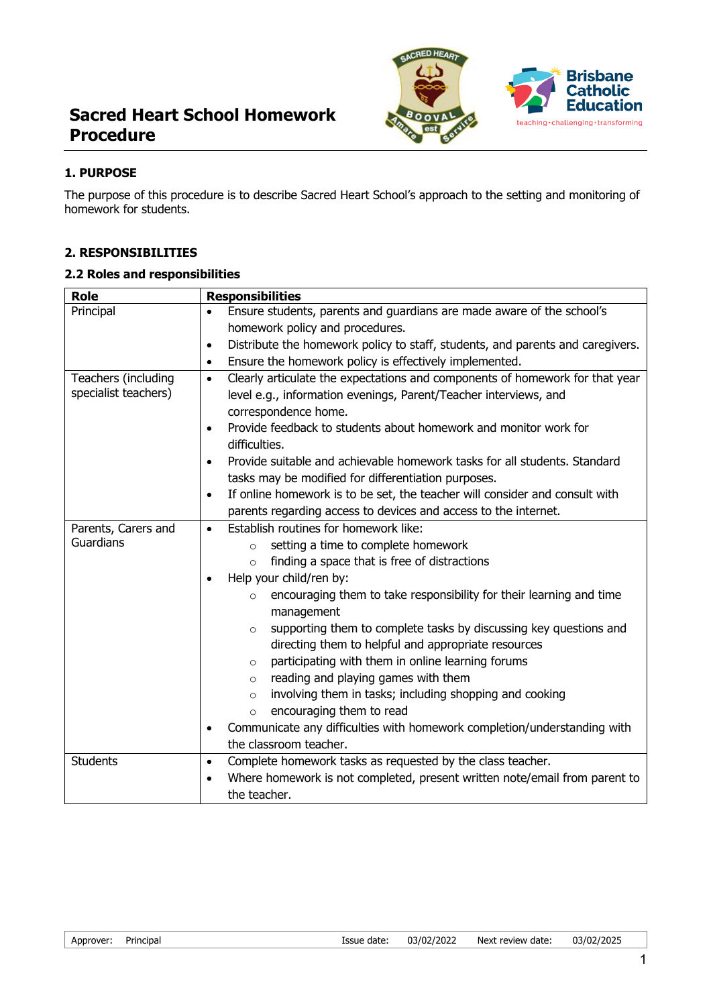# **Sacred Heart School Homework Procedure**



### **1. PURPOSE**

The purpose of this procedure is to describe Sacred Heart School's approach to the setting and monitoring of homework for students.

### **2. RESPONSIBILITIES**

### **2.2 Roles and responsibilities**

| <b>Role</b>                                 | <b>Responsibilities</b>                                                                                                                                       |
|---------------------------------------------|---------------------------------------------------------------------------------------------------------------------------------------------------------------|
| Principal                                   | Ensure students, parents and guardians are made aware of the school's                                                                                         |
|                                             | homework policy and procedures.                                                                                                                               |
|                                             | Distribute the homework policy to staff, students, and parents and caregivers.<br>$\bullet$                                                                   |
|                                             | Ensure the homework policy is effectively implemented.<br>$\bullet$                                                                                           |
| Teachers (including<br>specialist teachers) | Clearly articulate the expectations and components of homework for that year<br>$\bullet$<br>level e.g., information evenings, Parent/Teacher interviews, and |
|                                             | correspondence home.                                                                                                                                          |
|                                             | Provide feedback to students about homework and monitor work for<br>$\bullet$<br>difficulties.                                                                |
|                                             | Provide suitable and achievable homework tasks for all students. Standard<br>$\bullet$<br>tasks may be modified for differentiation purposes.                 |
|                                             | If online homework is to be set, the teacher will consider and consult with<br>$\bullet$                                                                      |
|                                             | parents regarding access to devices and access to the internet.                                                                                               |
| Parents, Carers and<br>Guardians            | Establish routines for homework like:<br>$\bullet$                                                                                                            |
|                                             | setting a time to complete homework<br>$\circ$                                                                                                                |
|                                             | finding a space that is free of distractions<br>$\circ$                                                                                                       |
|                                             | Help your child/ren by:<br>$\bullet$                                                                                                                          |
|                                             | encouraging them to take responsibility for their learning and time<br>$\circ$                                                                                |
|                                             | management                                                                                                                                                    |
|                                             | supporting them to complete tasks by discussing key questions and<br>$\circ$<br>directing them to helpful and appropriate resources                           |
|                                             | participating with them in online learning forums<br>$\circ$                                                                                                  |
|                                             | reading and playing games with them<br>$\circ$                                                                                                                |
|                                             | involving them in tasks; including shopping and cooking<br>$\circ$                                                                                            |
|                                             | encouraging them to read<br>$\circ$                                                                                                                           |
|                                             | Communicate any difficulties with homework completion/understanding with<br>$\bullet$                                                                         |
|                                             | the classroom teacher.                                                                                                                                        |
| <b>Students</b>                             | Complete homework tasks as requested by the class teacher.<br>$\bullet$                                                                                       |
|                                             | Where homework is not completed, present written note/email from parent to<br>$\bullet$                                                                       |
|                                             | the teacher.                                                                                                                                                  |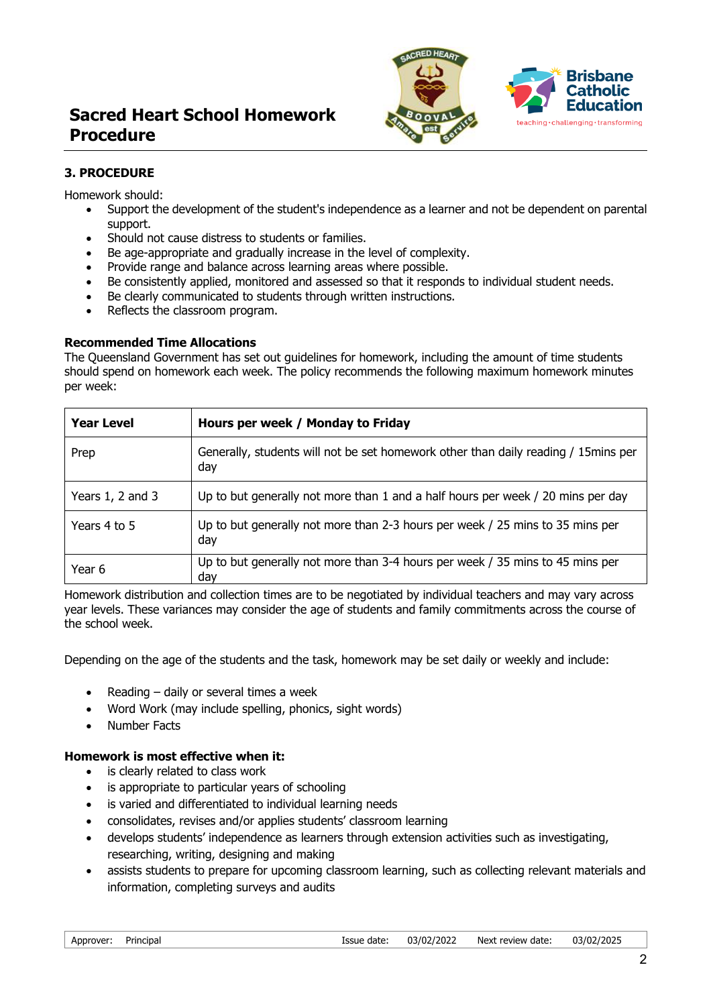# **Sacred Heart School Homework Procedure**



# **3. PROCEDURE**

Homework should:

- Support the development of the student's independence as a learner and not be dependent on parental support.
- Should not cause distress to students or families.
- Be age-appropriate and gradually increase in the level of complexity.
- Provide range and balance across learning areas where possible.
- Be consistently applied, monitored and assessed so that it responds to individual student needs.
- Be clearly communicated to students through written instructions.
- Reflects the classroom program.

#### **Recommended Time Allocations**

The Queensland Government has set out guidelines for homework, including the amount of time students should spend on homework each week. The policy recommends the following maximum homework minutes per week:

| <b>Year Level</b>    | Hours per week / Monday to Friday                                                          |
|----------------------|--------------------------------------------------------------------------------------------|
| Prep                 | Generally, students will not be set homework other than daily reading / 15 mins per<br>day |
| Years $1, 2$ and $3$ | Up to but generally not more than 1 and a half hours per week / 20 mins per day            |
| Years 4 to 5         | Up to but generally not more than 2-3 hours per week / 25 mins to 35 mins per<br>day       |
| Year 6               | Up to but generally not more than 3-4 hours per week / 35 mins to 45 mins per<br>dav       |

Homework distribution and collection times are to be negotiated by individual teachers and may vary across year levels. These variances may consider the age of students and family commitments across the course of the school week.

Depending on the age of the students and the task, homework may be set daily or weekly and include:

- Reading  $-$  daily or several times a week
- Word Work (may include spelling, phonics, sight words)
- Number Facts

# **Homework is most effective when it:**

- is clearly related to class work
- is appropriate to particular years of schooling
- is varied and differentiated to individual learning needs
- consolidates, revises and/or applies students' classroom learning
- develops students' independence as learners through extension activities such as investigating, researching, writing, designing and making
- assists students to prepare for upcoming classroom learning, such as collecting relevant materials and information, completing surveys and audits